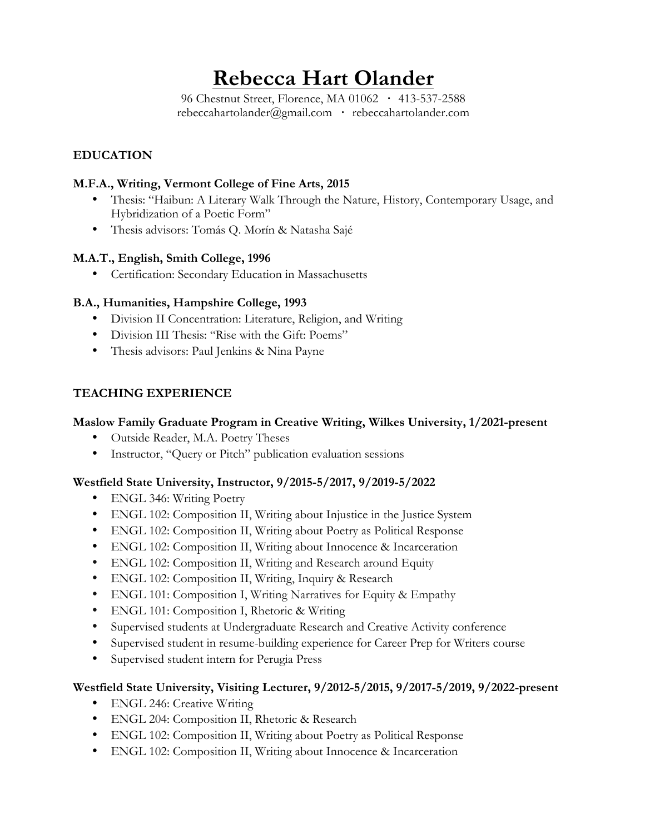# **Rebecca Hart Olander**

96 Chestnut Street, Florence, MA 01062 **·** 413-537-2588 rebeccahartolander@gmail.com **·** rebeccahartolander.com

## **EDUCATION**

#### **M.F.A., Writing, Vermont College of Fine Arts, 2015**

- Thesis: "Haibun: A Literary Walk Through the Nature, History, Contemporary Usage, and Hybridization of a Poetic Form"
- Thesis advisors: Tomás Q. Morín & Natasha Sajé

#### **M.A.T., English, Smith College, 1996**

• Certification: Secondary Education in Massachusetts

#### **B.A., Humanities, Hampshire College, 1993**

- Division II Concentration: Literature, Religion, and Writing
- Division III Thesis: "Rise with the Gift: Poems"
- Thesis advisors: Paul Jenkins & Nina Payne

## **TEACHING EXPERIENCE**

#### **Maslow Family Graduate Program in Creative Writing, Wilkes University, 1/2021-present**

- Outside Reader, M.A. Poetry Theses
- Instructor, "Query or Pitch" publication evaluation sessions

#### **Westfield State University, Instructor, 9/2015-5/2017, 9/2019-5/2022**

- ENGL 346: Writing Poetry
- ENGL 102: Composition II, Writing about Injustice in the Justice System
- ENGL 102: Composition II, Writing about Poetry as Political Response
- ENGL 102: Composition II, Writing about Innocence & Incarceration
- ENGL 102: Composition II, Writing and Research around Equity
- ENGL 102: Composition II, Writing, Inquiry & Research
- ENGL 101: Composition I, Writing Narratives for Equity & Empathy
- ENGL 101: Composition I, Rhetoric & Writing
- Supervised students at Undergraduate Research and Creative Activity conference
- Supervised student in resume-building experience for Career Prep for Writers course
- Supervised student intern for Perugia Press

#### **Westfield State University, Visiting Lecturer, 9/2012-5/2015, 9/2017-5/2019, 9/2022-present**

- ENGL 246: Creative Writing
- ENGL 204: Composition II, Rhetoric & Research
- ENGL 102: Composition II, Writing about Poetry as Political Response
- ENGL 102: Composition II, Writing about Innocence & Incarceration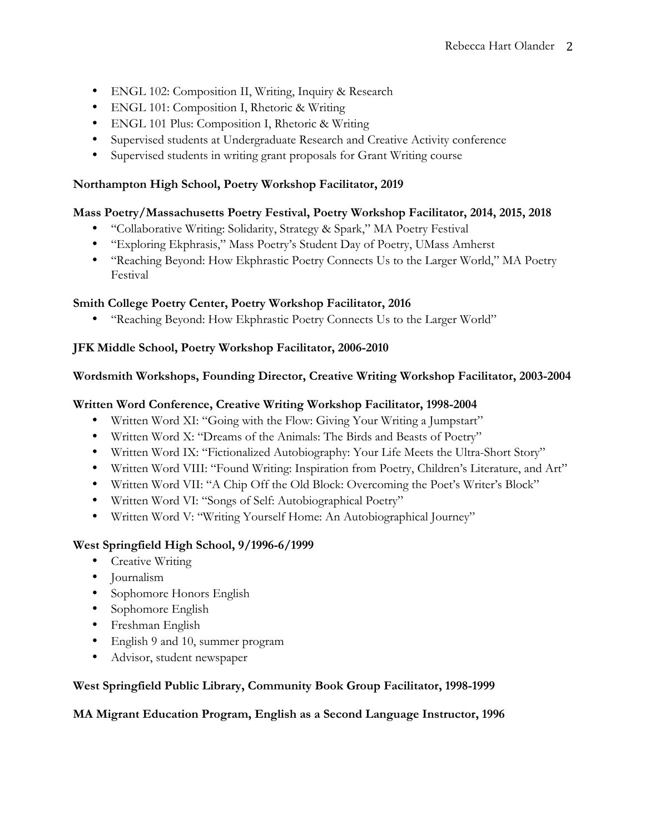- ENGL 102: Composition II, Writing, Inquiry & Research
- ENGL 101: Composition I, Rhetoric & Writing
- ENGL 101 Plus: Composition I, Rhetoric & Writing
- Supervised students at Undergraduate Research and Creative Activity conference
- Supervised students in writing grant proposals for Grant Writing course

#### **Northampton High School, Poetry Workshop Facilitator, 2019**

#### **Mass Poetry/Massachusetts Poetry Festival, Poetry Workshop Facilitator, 2014, 2015, 2018**

- "Collaborative Writing: Solidarity, Strategy & Spark," MA Poetry Festival
- "Exploring Ekphrasis," Mass Poetry's Student Day of Poetry, UMass Amherst
- "Reaching Beyond: How Ekphrastic Poetry Connects Us to the Larger World," MA Poetry Festival

#### **Smith College Poetry Center, Poetry Workshop Facilitator, 2016**

• "Reaching Beyond: How Ekphrastic Poetry Connects Us to the Larger World"

## **JFK Middle School, Poetry Workshop Facilitator, 2006-2010**

#### **Wordsmith Workshops, Founding Director, Creative Writing Workshop Facilitator, 2003-2004**

#### **Written Word Conference, Creative Writing Workshop Facilitator, 1998-2004**

- Written Word XI: "Going with the Flow: Giving Your Writing a Jumpstart"
- Written Word X: "Dreams of the Animals: The Birds and Beasts of Poetry"
- Written Word IX: "Fictionalized Autobiography: Your Life Meets the Ultra-Short Story"
- Written Word VIII: "Found Writing: Inspiration from Poetry, Children's Literature, and Art"
- Written Word VII: "A Chip Off the Old Block: Overcoming the Poet's Writer's Block"
- Written Word VI: "Songs of Self: Autobiographical Poetry"
- Written Word V: "Writing Yourself Home: An Autobiographical Journey"

## **West Springfield High School, 9/1996-6/1999**

- Creative Writing
- Journalism
- Sophomore Honors English
- Sophomore English
- Freshman English
- English 9 and 10, summer program
- Advisor, student newspaper

## **West Springfield Public Library, Community Book Group Facilitator, 1998-1999**

## **MA Migrant Education Program, English as a Second Language Instructor, 1996**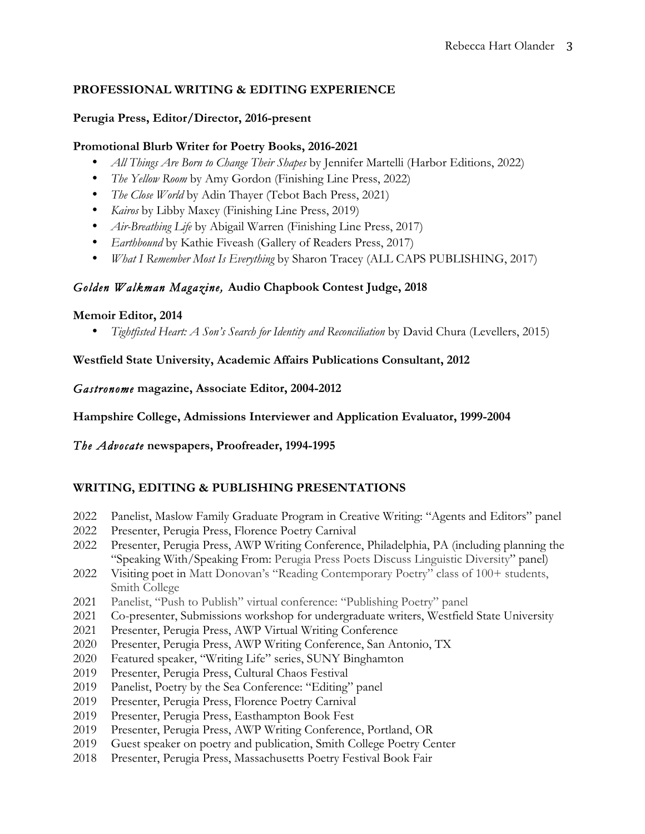## **PROFESSIONAL WRITING & EDITING EXPERIENCE**

#### **Perugia Press, Editor/Director, 2016-present**

#### **Promotional Blurb Writer for Poetry Books, 2016-2021**

- *All Things Are Born to Change Their Shapes* by Jennifer Martelli (Harbor Editions, 2022)
- *The Yellow Room* by Amy Gordon (Finishing Line Press, 2022)
- *The Close World* by Adin Thayer (Tebot Bach Press, 2021)
- *Kairos* by Libby Maxey (Finishing Line Press, 2019)
- *Air-Breathing Life* by Abigail Warren (Finishing Line Press, 2017)
- *Earthbound* by Kathie Fiveash (Gallery of Readers Press, 2017)
- *What I Remember Most Is Everything* by Sharon Tracey (ALL CAPS PUBLISHING, 2017)

## *Golden Walkman Magazine,* **Audio Chapbook Contest Judge, 2018**

#### **Memoir Editor, 2014**

• *Tightfisted Heart: A Son's Search for Identity and Reconciliation* by David Chura (Levellers, 2015)

**Westfield State University, Academic Affairs Publications Consultant, 2012**

*Gastronome* **magazine, Associate Editor, 2004-2012**

**Hampshire College, Admissions Interviewer and Application Evaluator, 1999-2004**

## *The Advocate* **newspapers, Proofreader, 1994-1995**

# **WRITING, EDITING & PUBLISHING PRESENTATIONS**

- 2022 Panelist, Maslow Family Graduate Program in Creative Writing: "Agents and Editors" panel
- 2022 Presenter, Perugia Press, Florence Poetry Carnival
- 2022 Presenter, Perugia Press, AWP Writing Conference, Philadelphia, PA (including planning the "Speaking With/Speaking From: Perugia Press Poets Discuss Linguistic Diversity" panel)
- 2022 Visiting poet in Matt Donovan's "Reading Contemporary Poetry" class of 100+ students, Smith College
- 2021 Panelist, "Push to Publish" virtual conference: "Publishing Poetry" panel
- 2021 Co-presenter, Submissions workshop for undergraduate writers, Westfield State University
- 2021 Presenter, Perugia Press, AWP Virtual Writing Conference
- 2020 Presenter, Perugia Press, AWP Writing Conference, San Antonio, TX
- 2020 Featured speaker, "Writing Life" series, SUNY Binghamton
- 2019 Presenter, Perugia Press, Cultural Chaos Festival
- 2019 Panelist, Poetry by the Sea Conference: "Editing" panel
- 2019 Presenter, Perugia Press, Florence Poetry Carnival
- 2019 Presenter, Perugia Press, Easthampton Book Fest
- 2019 Presenter, Perugia Press, AWP Writing Conference, Portland, OR
- 2019 Guest speaker on poetry and publication, Smith College Poetry Center
- 2018 Presenter, Perugia Press, Massachusetts Poetry Festival Book Fair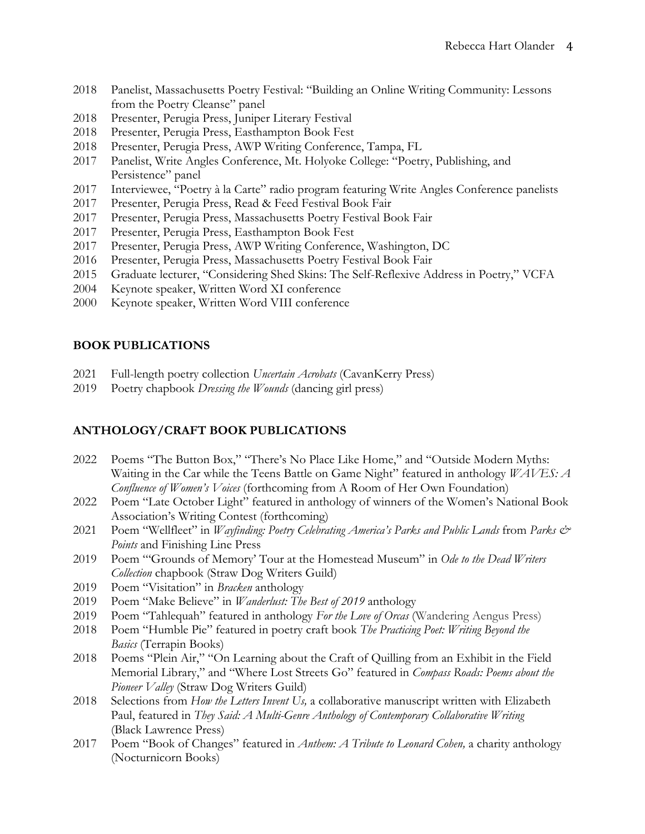- Panelist, Massachusetts Poetry Festival: "Building an Online Writing Community: Lessons from the Poetry Cleanse" panel
- Presenter, Perugia Press, Juniper Literary Festival
- Presenter, Perugia Press, Easthampton Book Fest
- Presenter, Perugia Press, AWP Writing Conference, Tampa, FL
- Panelist, Write Angles Conference, Mt. Holyoke College: "Poetry, Publishing, and Persistence" panel
- Interviewee, "Poetry à la Carte" radio program featuring Write Angles Conference panelists
- Presenter, Perugia Press, Read & Feed Festival Book Fair
- Presenter, Perugia Press, Massachusetts Poetry Festival Book Fair
- Presenter, Perugia Press, Easthampton Book Fest
- Presenter, Perugia Press, AWP Writing Conference, Washington, DC
- Presenter, Perugia Press, Massachusetts Poetry Festival Book Fair
- Graduate lecturer, "Considering Shed Skins: The Self-Reflexive Address in Poetry," VCFA
- Keynote speaker, Written Word XI conference
- Keynote speaker, Written Word VIII conference

## **BOOK PUBLICATIONS**

- Full-length poetry collection *Uncertain Acrobats* (CavanKerry Press)
- Poetry chapbook *Dressing the Wounds* (dancing girl press)

## **ANTHOLOGY/CRAFT BOOK PUBLICATIONS**

- Poems "The Button Box," "There's No Place Like Home," and "Outside Modern Myths: Waiting in the Car while the Teens Battle on Game Night" featured in anthology *WAVES: A Confluence of Women's Voices* (forthcoming from A Room of Her Own Foundation)
- Poem "Late October Light" featured in anthology of winners of the Women's National Book Association's Writing Contest (forthcoming)
- 2021 Poem "Wellfleet" in *Wayfinding: Poetry Celebrating America's Parks and Public Lands* from *Parks* & *Points* and Finishing Line Press
- Poem "'Grounds of Memory' Tour at the Homestead Museum" in *Ode to the Dead Writers Collection* chapbook (Straw Dog Writers Guild)
- Poem "Visitation" in *Bracken* anthology
- Poem "Make Believe" in *Wanderlust: The Best of 2019* anthology
- Poem "Tahlequah" featured in anthology *For the Love of Orcas* (Wandering Aengus Press)
- Poem "Humble Pie" featured in poetry craft book *The Practicing Poet: Writing Beyond the Basics* (Terrapin Books)
- Poems "Plein Air," "On Learning about the Craft of Quilling from an Exhibit in the Field Memorial Library," and "Where Lost Streets Go" featured in *Compass Roads: Poems about the Pioneer Valley* (Straw Dog Writers Guild)
- Selections from *How the Letters Invent Us,* a collaborative manuscript written with Elizabeth Paul, featured in *They Said: A Multi-Genre Anthology of Contemporary Collaborative Writing* (Black Lawrence Press)
- Poem "Book of Changes" featured in *Anthem: A Tribute to Leonard Cohen,* a charity anthology (Nocturnicorn Books)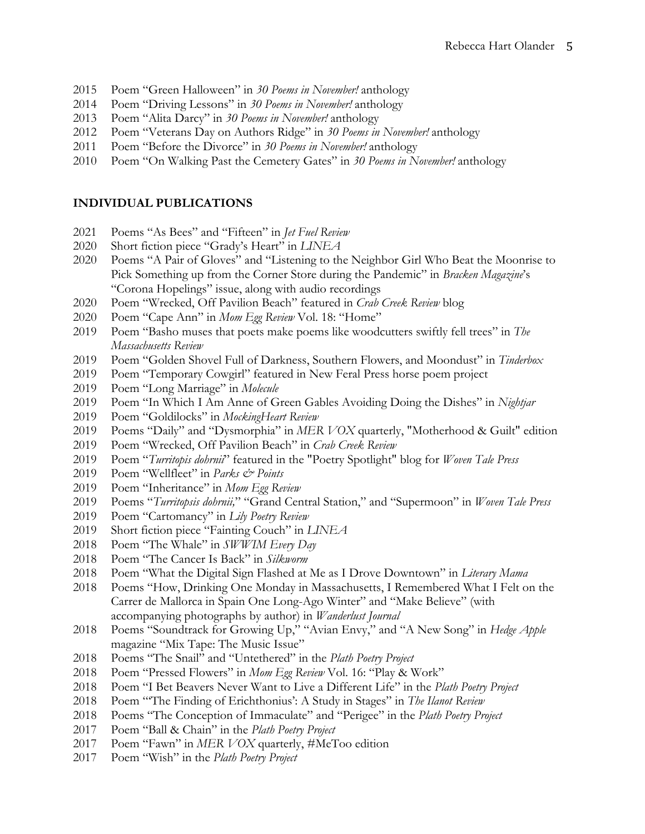- Poem "Green Halloween" in *30 Poems in November!* anthology
- Poem "Driving Lessons" in *30 Poems in November!* anthology
- Poem "Alita Darcy" in *30 Poems in November!* anthology
- Poem "Veterans Day on Authors Ridge" in *30 Poems in November!* anthology
- Poem "Before the Divorce" in *30 Poems in November!* anthology
- Poem "On Walking Past the Cemetery Gates" in *30 Poems in November!* anthology

#### **INDIVIDUAL PUBLICATIONS**

- Poems "As Bees" and "Fifteen" in *Jet Fuel Review*
- Short fiction piece "Grady's Heart" in *LINEA*
- Poems "A Pair of Gloves" and "Listening to the Neighbor Girl Who Beat the Moonrise to Pick Something up from the Corner Store during the Pandemic" in *Bracken Magazine*'s "Corona Hopelings" issue, along with audio recordings
- Poem "Wrecked, Off Pavilion Beach" featured in *Crab Creek Review* blog
- Poem "Cape Ann" in *Mom Egg Review* Vol. 18: "Home"
- Poem "Basho muses that poets make poems like woodcutters swiftly fell trees" in *The Massachusetts Review*
- Poem "Golden Shovel Full of Darkness, Southern Flowers, and Moondust" in *Tinderbox*
- Poem "Temporary Cowgirl" featured in New Feral Press horse poem project
- Poem "Long Marriage" in *Molecule*
- Poem "In Which I Am Anne of Green Gables Avoiding Doing the Dishes" in *Nightjar*
- Poem "Goldilocks" in *MockingHeart Review*
- Poems "Daily" and "Dysmorphia" in *MER VOX* quarterly, "Motherhood & Guilt" edition
- Poem "Wrecked, Off Pavilion Beach" in *Crab Creek Review*
- Poem "*Turritopis dohrnii*" featured in the "Poetry Spotlight" blog for *Woven Tale Press*
- Poem "Wellfleet" in *Parks & Points*
- Poem "Inheritance" in *Mom Egg Review*
- Poems "*Turritopsis dohrnii,*" "Grand Central Station," and "Supermoon" in *Woven Tale Press*
- Poem "Cartomancy" in *Lily Poetry Review*
- Short fiction piece "Fainting Couch" in *LINEA*
- Poem "The Whale" in *SWWIM Every Day*
- Poem "The Cancer Is Back" in *Silkworm*
- Poem "What the Digital Sign Flashed at Me as I Drove Downtown" in *Literary Mama*
- Poems "How, Drinking One Monday in Massachusetts, I Remembered What I Felt on the Carrer de Mallorca in Spain One Long-Ago Winter" and "Make Believe" (with accompanying photographs by author) in *Wanderlust Journal*
- Poems "Soundtrack for Growing Up," "Avian Envy," and "A New Song" in *Hedge Apple* magazine "Mix Tape: The Music Issue"
- Poems "The Snail" and "Untethered" in the *Plath Poetry Project*
- Poem "Pressed Flowers" in *Mom Egg Review* Vol. 16: "Play & Work"
- Poem "I Bet Beavers Never Want to Live a Different Life" in the *Plath Poetry Project*
- Poem "'The Finding of Erichthonius': A Study in Stages" in *The Ilanot Review*
- Poems "The Conception of Immaculate" and "Perigee" in the *Plath Poetry Project*
- Poem "Ball & Chain" in the *Plath Poetry Project*
- Poem "Fawn" in *MER VOX* quarterly, #MeToo edition
- Poem "Wish" in the *Plath Poetry Project*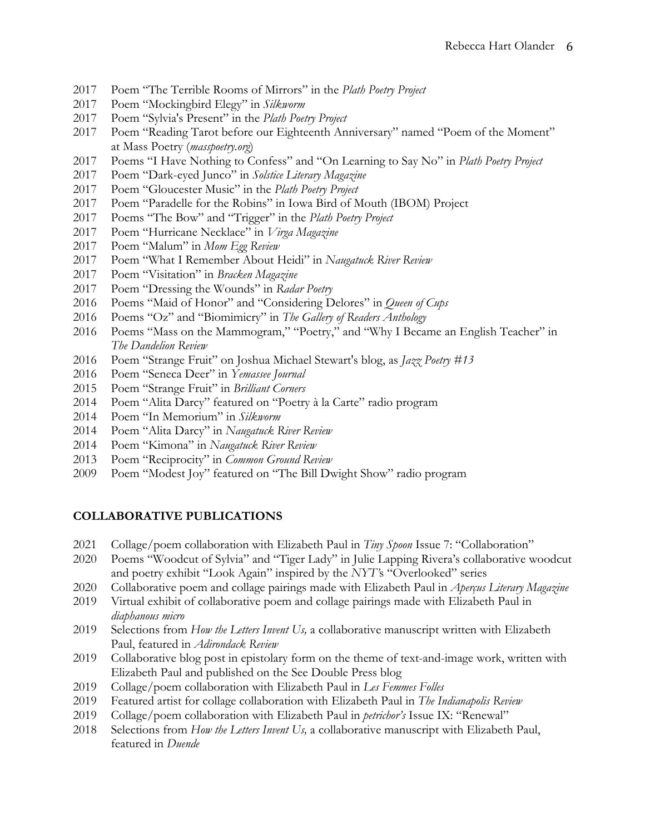- Poem "The Terrible Rooms of Mirrors" in the *Plath Poetry Project*
- Poem "Mockingbird Elegy" in *Silkworm*
- Poem "Sylvia's Present" in the *Plath Poetry Project*
- Poem "Reading Tarot before our Eighteenth Anniversary" named "Poem of the Moment" at Mass Poetry (*masspoetry.org*)
- Poems "I Have Nothing to Confess" and "On Learning to Say No" in *Plath Poetry Project*
- Poem "Dark-eyed Junco" in *Solstice Literary Magazine*
- Poem "Gloucester Music" in the *Plath Poetry Project*
- Poem "Paradelle for the Robins" in Iowa Bird of Mouth (IBOM) Project
- Poems "The Bow" and "Trigger" in the *Plath Poetry Project*
- Poem "Hurricane Necklace" in *Virga Magazine*
- Poem "Malum" in *Mom Egg Review*
- Poem "What I Remember About Heidi" in *Naugatuck River Review*
- Poem "Visitation" in *Bracken Magazine*
- Poem "Dressing the Wounds" in *Radar Poetry*
- Poems "Maid of Honor" and "Considering Delores" in *Queen of Cups*
- Poems "Oz" and "Biomimicry" in *The Gallery of Readers Anthology*
- Poems "Mass on the Mammogram," "Poetry," and "Why I Became an English Teacher" in *The Dandelion Review*
- Poem "Strange Fruit" on Joshua Michael Stewart's blog, as *Jazz Poetry #13*
- Poem "Seneca Deer" in *Yemassee Journal*
- Poem "Strange Fruit" in *Brilliant Corners*
- Poem "Alita Darcy" featured on "Poetry à la Carte" radio program
- 2014 Poem "In Memorium" in *Silkworm*
- 2014 Poem "Alita Darcy" in *Naugatuck River Review*
- Poem "Kimona" in *Naugatuck River Review*
- Poem "Reciprocity" in *Common Ground Review*
- Poem "Modest Joy" featured on "The Bill Dwight Show" radio program

## **COLLABORATIVE PUBLICATIONS**

- Collage/poem collaboration with Elizabeth Paul in *Tiny Spoon* Issue 7: "Collaboration"
- Poems "Woodcut of Sylvia" and "Tiger Lady" in Julie Lapping Rivera's collaborative woodcut and poetry exhibit "Look Again" inspired by the *NYT'*s "Overlooked" series
- Collaborative poem and collage pairings made with Elizabeth Paul in *Aperçus Literary Magazine*
- Virtual exhibit of collaborative poem and collage pairings made with Elizabeth Paul in *diaphanous micro*
- Selections from *How the Letters Invent Us,* a collaborative manuscript written with Elizabeth Paul, featured in *Adirondack Review*
- Collaborative blog post in epistolary form on the theme of text-and-image work, written with Elizabeth Paul and published on the See Double Press blog
- Collage/poem collaboration with Elizabeth Paul in *Les Femmes Folles*
- Featured artist for collage collaboration with Elizabeth Paul in *The Indianapolis Review*
- Collage/poem collaboration with Elizabeth Paul in *petrichor's* Issue IX: "Renewal"
- Selections from *How the Letters Invent Us,* a collaborative manuscript with Elizabeth Paul, featured in *Duende*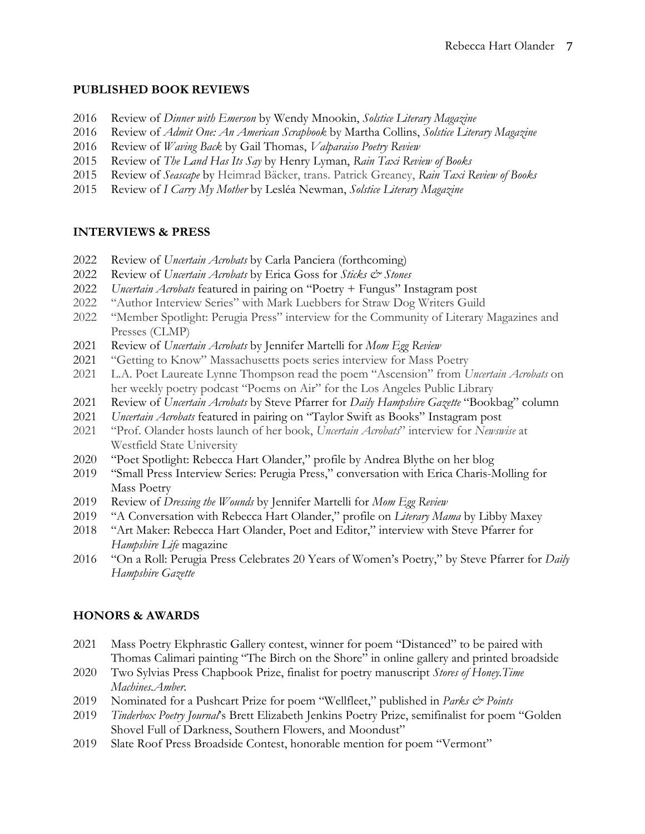### **PUBLISHED BOOK REVIEWS**

- Review of *Dinner with Emerson* by Wendy Mnookin, *Solstice Literary Magazine*
- Review of *Admit One: An American Scrapbook* by Martha Collins, *Solstice Literary Magazine*
- Review of *Waving Back* by Gail Thomas, *Valparaiso Poetry Review*
- Review of *The Land Has Its Say* by Henry Lyman, *Rain Taxi Review of Books*
- Review of *Seascape* by Heimrad Bäcker, trans. Patrick Greaney, *Rain Taxi Review of Books*
- Review of *I Carry My Mother* by Lesléa Newman, *Solstice Literary Magazine*

#### **INTERVIEWS & PRESS**

- Review of *Uncertain Acrobats* by Carla Panciera (forthcoming)
- Review of *Uncertain Acrobats* by Erica Goss for *Sticks & Stones*
- *Uncertain Acrobats* featured in pairing on "Poetry + Fungus" Instagram post
- "Author Interview Series" with Mark Luebbers for Straw Dog Writers Guild
- "Member Spotlight: Perugia Press" interview for the Community of Literary Magazines and Presses (CLMP)
- Review of *Uncertain Acrobats* by Jennifer Martelli for *Mom Egg Review*
- "Getting to Know" Massachusetts poets series interview for Mass Poetry
- L.A. Poet Laureate Lynne Thompson read the poem "Ascension" from *Uncertain Acrobats* on her weekly poetry podcast "Poems on Air" for the Los Angeles Public Library
- Review of *Uncertain Acrobats* by Steve Pfarrer for *Daily Hampshire Gazette* "Bookbag" column
- *Uncertain Acrobats* featured in pairing on "Taylor Swift as Books" Instagram post
- "Prof. Olander hosts launch of her book, *Uncertain Acrobats*" interview for *Newswise* at Westfield State University
- "Poet Spotlight: Rebecca Hart Olander," profile by Andrea Blythe on her blog
- "Small Press Interview Series: Perugia Press," conversation with Erica Charis-Molling for Mass Poetry
- Review of *Dressing the Wounds* by Jennifer Martelli for *Mom Egg Review*
- "A Conversation with Rebecca Hart Olander," profile on *Literary Mama* by Libby Maxey
- "Art Maker: Rebecca Hart Olander, Poet and Editor," interview with Steve Pfarrer for *Hampshire Life* magazine
- "On a Roll: Perugia Press Celebrates 20 Years of Women's Poetry," by Steve Pfarrer for *Daily Hampshire Gazette*

## **HONORS & AWARDS**

- Mass Poetry Ekphrastic Gallery contest, winner for poem "Distanced" to be paired with Thomas Calimari painting "The Birch on the Shore" in online gallery and printed broadside
- Two Sylvias Press Chapbook Prize, finalist for poetry manuscript *Stores of Honey.Time Machines.Amber*.
- 2019 Nominated for a Pushcart Prize for poem "Wellfleet," published in *Parks & Points*
- *Tinderbox Poetry Journal*'s Brett Elizabeth Jenkins Poetry Prize, semifinalist for poem "Golden Shovel Full of Darkness, Southern Flowers, and Moondust"
- Slate Roof Press Broadside Contest, honorable mention for poem "Vermont"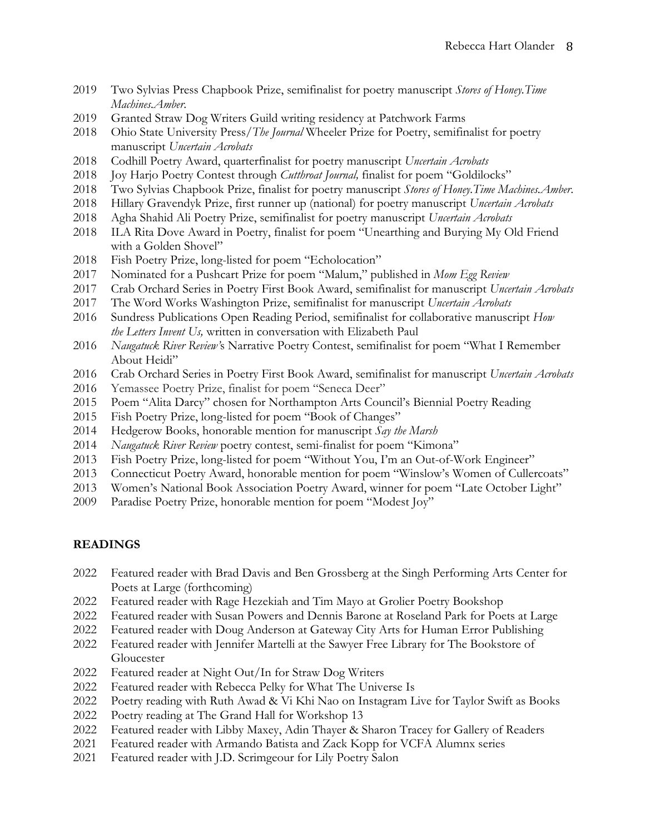- Two Sylvias Press Chapbook Prize, semifinalist for poetry manuscript *Stores of Honey.Time Machines.Amber*.
- Granted Straw Dog Writers Guild writing residency at Patchwork Farms
- Ohio State University Press/*The Journal* Wheeler Prize for Poetry, semifinalist for poetry manuscript *Uncertain Acrobats*
- Codhill Poetry Award, quarterfinalist for poetry manuscript *Uncertain Acrobats*
- Joy Harjo Poetry Contest through *Cutthroat Journal,* finalist for poem "Goldilocks"
- Two Sylvias Chapbook Prize, finalist for poetry manuscript *Stores of Honey.Time Machines.Amber*.
- Hillary Gravendyk Prize, first runner up (national) for poetry manuscript *Uncertain Acrobats*
- Agha Shahid Ali Poetry Prize, semifinalist for poetry manuscript *Uncertain Acrobats*
- ILA Rita Dove Award in Poetry, finalist for poem "Unearthing and Burying My Old Friend with a Golden Shovel"
- Fish Poetry Prize, long-listed for poem "Echolocation"
- Nominated for a Pushcart Prize for poem "Malum," published in *Mom Egg Review*
- Crab Orchard Series in Poetry First Book Award, semifinalist for manuscript *Uncertain Acrobats*
- The Word Works Washington Prize, semifinalist for manuscript *Uncertain Acrobats*
- Sundress Publications Open Reading Period, semifinalist for collaborative manuscript *How the Letters Invent Us,* written in conversation with Elizabeth Paul
- *Naugatuck River Review'*s Narrative Poetry Contest, semifinalist for poem "What I Remember About Heidi"
- Crab Orchard Series in Poetry First Book Award, semifinalist for manuscript *Uncertain Acrobats*
- Yemassee Poetry Prize, finalist for poem "Seneca Deer"
- Poem "Alita Darcy" chosen for Northampton Arts Council's Biennial Poetry Reading
- Fish Poetry Prize, long-listed for poem "Book of Changes"
- Hedgerow Books, honorable mention for manuscript *Say the Marsh*
- *Naugatuck River Review* poetry contest, semi-finalist for poem "Kimona"
- Fish Poetry Prize, long-listed for poem "Without You, I'm an Out-of-Work Engineer"
- Connecticut Poetry Award, honorable mention for poem "Winslow's Women of Cullercoats"
- Women's National Book Association Poetry Award, winner for poem "Late October Light"
- Paradise Poetry Prize, honorable mention for poem "Modest Joy"

# **READINGS**

- Featured reader with Brad Davis and Ben Grossberg at the Singh Performing Arts Center for Poets at Large (forthcoming)
- Featured reader with Rage Hezekiah and Tim Mayo at Grolier Poetry Bookshop
- Featured reader with Susan Powers and Dennis Barone at Roseland Park for Poets at Large
- Featured reader with Doug Anderson at Gateway City Arts for Human Error Publishing
- Featured reader with Jennifer Martelli at the Sawyer Free Library for The Bookstore of Gloucester
- Featured reader at Night Out/In for Straw Dog Writers
- Featured reader with Rebecca Pelky for What The Universe Is
- Poetry reading with Ruth Awad & Vi Khi Nao on Instagram Live for Taylor Swift as Books
- Poetry reading at The Grand Hall for Workshop 13
- Featured reader with Libby Maxey, Adin Thayer & Sharon Tracey for Gallery of Readers
- Featured reader with Armando Batista and Zack Kopp for VCFA Alumnx series
- Featured reader with J.D. Scrimgeour for Lily Poetry Salon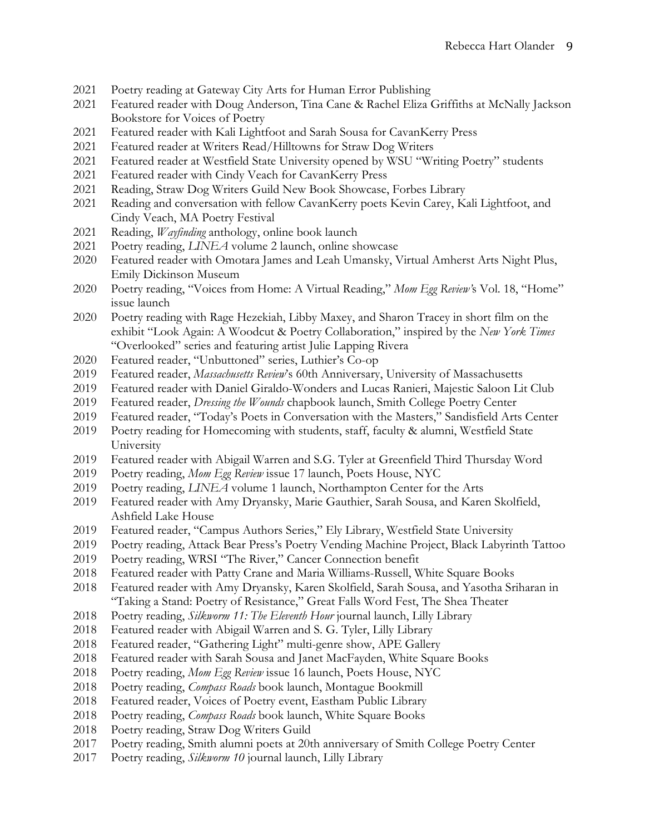- Poetry reading at Gateway City Arts for Human Error Publishing
- Featured reader with Doug Anderson, Tina Cane & Rachel Eliza Griffiths at McNally Jackson Bookstore for Voices of Poetry
- Featured reader with Kali Lightfoot and Sarah Sousa for CavanKerry Press
- Featured reader at Writers Read/Hilltowns for Straw Dog Writers
- Featured reader at Westfield State University opened by WSU "Writing Poetry" students
- Featured reader with Cindy Veach for CavanKerry Press
- Reading, Straw Dog Writers Guild New Book Showcase, Forbes Library
- Reading and conversation with fellow CavanKerry poets Kevin Carey, Kali Lightfoot, and Cindy Veach, MA Poetry Festival
- Reading, *Wayfinding* anthology, online book launch
- Poetry reading, *LINEA* volume 2 launch, online showcase
- Featured reader with Omotara James and Leah Umansky, Virtual Amherst Arts Night Plus, Emily Dickinson Museum
- Poetry reading, "Voices from Home: A Virtual Reading," *Mom Egg Review'*s Vol. 18, "Home" issue launch
- Poetry reading with Rage Hezekiah, Libby Maxey, and Sharon Tracey in short film on the exhibit "Look Again: A Woodcut & Poetry Collaboration," inspired by the *New York Times* "Overlooked" series and featuring artist Julie Lapping Rivera
- Featured reader, "Unbuttoned" series, Luthier's Co-op
- Featured reader, *Massachusetts Review*'s 60th Anniversary, University of Massachusetts
- Featured reader with Daniel Giraldo-Wonders and Lucas Ranieri, Majestic Saloon Lit Club
- Featured reader, *Dressing the Wounds* chapbook launch, Smith College Poetry Center
- Featured reader, "Today's Poets in Conversation with the Masters," Sandisfield Arts Center
- Poetry reading for Homecoming with students, staff, faculty & alumni, Westfield State University
- Featured reader with Abigail Warren and S.G. Tyler at Greenfield Third Thursday Word
- Poetry reading, *Mom Egg Review* issue 17 launch, Poets House, NYC
- Poetry reading, *LINEA* volume 1 launch, Northampton Center for the Arts
- Featured reader with Amy Dryansky, Marie Gauthier, Sarah Sousa, and Karen Skolfield, Ashfield Lake House
- Featured reader, "Campus Authors Series," Ely Library, Westfield State University
- Poetry reading, Attack Bear Press's Poetry Vending Machine Project, Black Labyrinth Tattoo
- Poetry reading, WRSI "The River," Cancer Connection benefit
- Featured reader with Patty Crane and Maria Williams-Russell, White Square Books
- Featured reader with Amy Dryansky, Karen Skolfield, Sarah Sousa, and Yasotha Sriharan in "Taking a Stand: Poetry of Resistance," Great Falls Word Fest, The Shea Theater
- Poetry reading, *Silkworm 11: The Eleventh Hour* journal launch, Lilly Library
- Featured reader with Abigail Warren and S. G. Tyler, Lilly Library
- Featured reader, "Gathering Light" multi-genre show, APE Gallery
- Featured reader with Sarah Sousa and Janet MacFayden, White Square Books
- Poetry reading, *Mom Egg Review* issue 16 launch, Poets House, NYC
- Poetry reading, *Compass Roads* book launch, Montague Bookmill
- Featured reader, Voices of Poetry event, Eastham Public Library
- Poetry reading, *Compass Roads* book launch, White Square Books
- Poetry reading, Straw Dog Writers Guild
- Poetry reading, Smith alumni poets at 20th anniversary of Smith College Poetry Center
- Poetry reading, *Silkworm 10* journal launch, Lilly Library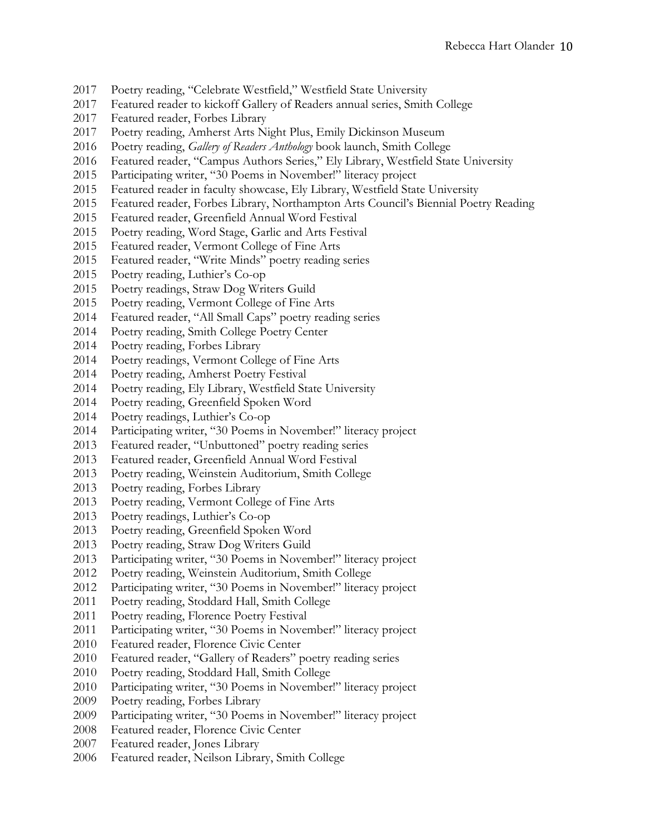- Poetry reading, "Celebrate Westfield," Westfield State University
- Featured reader to kickoff Gallery of Readers annual series, Smith College
- Featured reader, Forbes Library
- Poetry reading, Amherst Arts Night Plus, Emily Dickinson Museum
- Poetry reading, *Gallery of Readers Anthology* book launch, Smith College
- Featured reader, "Campus Authors Series," Ely Library, Westfield State University
- Participating writer, "30 Poems in November!" literacy project
- Featured reader in faculty showcase, Ely Library, Westfield State University
- Featured reader, Forbes Library, Northampton Arts Council's Biennial Poetry Reading
- Featured reader, Greenfield Annual Word Festival
- Poetry reading, Word Stage, Garlic and Arts Festival
- Featured reader, Vermont College of Fine Arts
- Featured reader, "Write Minds" poetry reading series
- Poetry reading, Luthier's Co-op
- Poetry readings, Straw Dog Writers Guild
- Poetry reading, Vermont College of Fine Arts
- Featured reader, "All Small Caps" poetry reading series
- Poetry reading, Smith College Poetry Center
- Poetry reading, Forbes Library
- Poetry readings, Vermont College of Fine Arts
- Poetry reading, Amherst Poetry Festival
- Poetry reading, Ely Library, Westfield State University
- Poetry reading, Greenfield Spoken Word
- Poetry readings, Luthier's Co-op
- Participating writer, "30 Poems in November!" literacy project
- Featured reader, "Unbuttoned" poetry reading series
- Featured reader, Greenfield Annual Word Festival
- Poetry reading, Weinstein Auditorium, Smith College
- Poetry reading, Forbes Library
- Poetry reading, Vermont College of Fine Arts
- Poetry readings, Luthier's Co-op
- Poetry reading, Greenfield Spoken Word
- Poetry reading, Straw Dog Writers Guild
- Participating writer, "30 Poems in November!" literacy project
- Poetry reading, Weinstein Auditorium, Smith College
- Participating writer, "30 Poems in November!" literacy project
- Poetry reading, Stoddard Hall, Smith College
- Poetry reading, Florence Poetry Festival
- Participating writer, "30 Poems in November!" literacy project
- Featured reader, Florence Civic Center
- Featured reader, "Gallery of Readers" poetry reading series
- Poetry reading, Stoddard Hall, Smith College
- Participating writer, "30 Poems in November!" literacy project
- Poetry reading, Forbes Library
- Participating writer, "30 Poems in November!" literacy project
- Featured reader, Florence Civic Center
- Featured reader, Jones Library
- Featured reader, Neilson Library, Smith College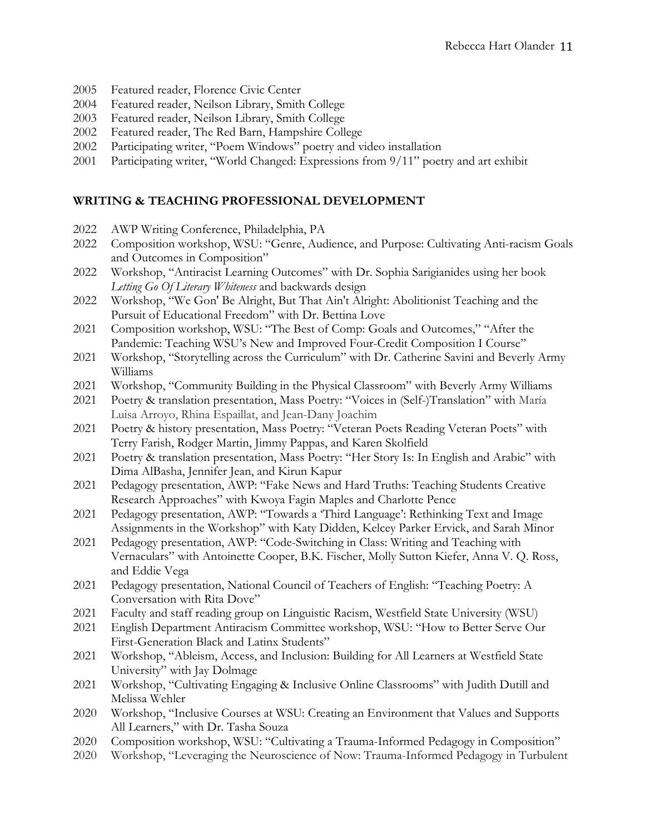- 2005 Featured reader, Florence Civic Center
- 2004 Featured reader, Neilson Library, Smith College
- 2003 Featured reader, Neilson Library, Smith College
- 2002 Featured reader, The Red Barn, Hampshire College
- 2002 Participating writer, "Poem Windows" poetry and video installation
- 2001 Participating writer, "World Changed: Expressions from 9/11" poetry and art exhibit

#### **WRITING & TEACHING PROFESSIONAL DEVELOPMENT**

- 2022 AWP Writing Conference, Philadelphia, PA
- 2022 Composition workshop, WSU: "Genre, Audience, and Purpose: Cultivating Anti-racism Goals and Outcomes in Composition"
- 2022 Workshop, "Antiracist Learning Outcomes" with Dr. Sophia Sarigianides using her book *Letting Go Of Literary Whiteness* and backwards design
- 2022 Workshop, "We Gon' Be Alright, But That Ain't Alright: Abolitionist Teaching and the Pursuit of Educational Freedom" with Dr. Bettina Love
- 2021 Composition workshop, WSU: "The Best of Comp: Goals and Outcomes," "After the Pandemic: Teaching WSU's New and Improved Four-Credit Composition I Course"
- 2021 Workshop, "Storytelling across the Curriculum" with Dr. Catherine Savini and Beverly Army Williams
- 2021 Workshop, "Community Building in the Physical Classroom" with Beverly Army Williams
- 2021 Poetry & translation presentation, Mass Poetry: "Voices in (Self-)Translation" with María Luisa Arroyo, Rhina Espaillat, and Jean-Dany Joachim
- 2021 Poetry & history presentation, Mass Poetry: "Veteran Poets Reading Veteran Poets" with Terry Farish, Rodger Martin, Jimmy Pappas, and Karen Skolfield
- 2021 Poetry & translation presentation, Mass Poetry: "Her Story Is: In English and Arabic" with Dima AlBasha, Jennifer Jean, and Kirun Kapur
- 2021 Pedagogy presentation, AWP: "Fake News and Hard Truths: Teaching Students Creative Research Approaches" with Kwoya Fagin Maples and Charlotte Pence
- 2021 Pedagogy presentation, AWP: "Towards a 'Third Language': Rethinking Text and Image Assignments in the Workshop" with Katy Didden, Kelcey Parker Ervick, and Sarah Minor
- 2021 Pedagogy presentation, AWP: "Code-Switching in Class: Writing and Teaching with Vernaculars" with Antoinette Cooper, B.K. Fischer, Molly Sutton Kiefer, Anna V. Q. Ross, and Eddie Vega
- 2021 Pedagogy presentation, National Council of Teachers of English: "Teaching Poetry: A Conversation with Rita Dove"
- 2021 Faculty and staff reading group on Linguistic Racism, Westfield State University (WSU)
- 2021 English Department Antiracism Committee workshop, WSU: "How to Better Serve Our First-Generation Black and Latinx Students"
- 2021 Workshop, "Ableism, Access, and Inclusion: Building for All Learners at Westfield State University" with Jay Dolmage
- 2021 Workshop, "Cultivating Engaging & Inclusive Online Classrooms" with Judith Dutill and Melissa Wehler
- 2020 Workshop, "Inclusive Courses at WSU: Creating an Environment that Values and Supports All Learners," with Dr. Tasha Souza
- 2020 Composition workshop, WSU: "Cultivating a Trauma-Informed Pedagogy in Composition"
- 2020 Workshop, "Leveraging the Neuroscience of Now: Trauma-Informed Pedagogy in Turbulent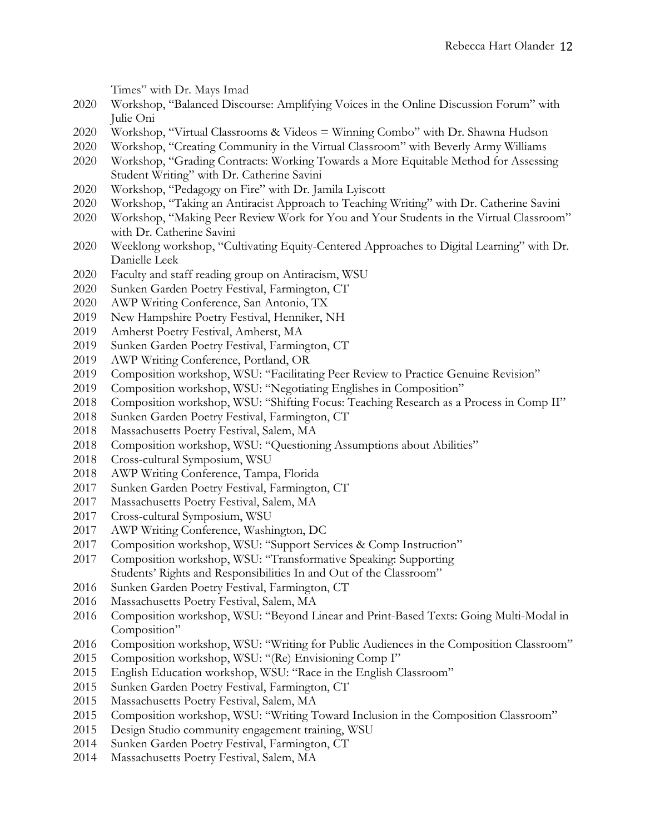Times" with Dr. Mays Imad

- Workshop, "Balanced Discourse: Amplifying Voices in the Online Discussion Forum" with Julie Oni
- Workshop, "Virtual Classrooms & Videos = Winning Combo" with Dr. Shawna Hudson
- Workshop, "Creating Community in the Virtual Classroom" with Beverly Army Williams
- Workshop, "Grading Contracts: Working Towards a More Equitable Method for Assessing Student Writing" with Dr. Catherine Savini
- Workshop, "Pedagogy on Fire" with Dr. Jamila Lyiscott
- Workshop, "Taking an Antiracist Approach to Teaching Writing" with Dr. Catherine Savini
- Workshop, "Making Peer Review Work for You and Your Students in the Virtual Classroom" with Dr. Catherine Savini
- Weeklong workshop, "Cultivating Equity-Centered Approaches to Digital Learning" with Dr. Danielle Leek
- Faculty and staff reading group on Antiracism, WSU
- Sunken Garden Poetry Festival, Farmington, CT
- AWP Writing Conference, San Antonio, TX
- New Hampshire Poetry Festival, Henniker, NH
- Amherst Poetry Festival, Amherst, MA
- Sunken Garden Poetry Festival, Farmington, CT
- AWP Writing Conference, Portland, OR
- Composition workshop, WSU: "Facilitating Peer Review to Practice Genuine Revision"
- Composition workshop, WSU: "Negotiating Englishes in Composition"
- Composition workshop, WSU: "Shifting Focus: Teaching Research as a Process in Comp II"
- Sunken Garden Poetry Festival, Farmington, CT
- Massachusetts Poetry Festival, Salem, MA
- Composition workshop, WSU: "Questioning Assumptions about Abilities"
- Cross-cultural Symposium, WSU
- AWP Writing Conference, Tampa, Florida
- Sunken Garden Poetry Festival, Farmington, CT
- Massachusetts Poetry Festival, Salem, MA
- Cross-cultural Symposium, WSU
- AWP Writing Conference, Washington, DC
- 2017 Composition workshop, WSU: "Support Services & Comp Instruction"
- Composition workshop, WSU: "Transformative Speaking: Supporting Students' Rights and Responsibilities In and Out of the Classroom"
- Sunken Garden Poetry Festival, Farmington, CT
- Massachusetts Poetry Festival, Salem, MA
- Composition workshop, WSU: "Beyond Linear and Print-Based Texts: Going Multi-Modal in Composition"
- Composition workshop, WSU: "Writing for Public Audiences in the Composition Classroom"
- 2015 Composition workshop, WSU: "(Re) Envisioning Comp I"
- English Education workshop, WSU: "Race in the English Classroom"
- Sunken Garden Poetry Festival, Farmington, CT
- Massachusetts Poetry Festival, Salem, MA
- Composition workshop, WSU: "Writing Toward Inclusion in the Composition Classroom"
- Design Studio community engagement training, WSU
- Sunken Garden Poetry Festival, Farmington, CT
- Massachusetts Poetry Festival, Salem, MA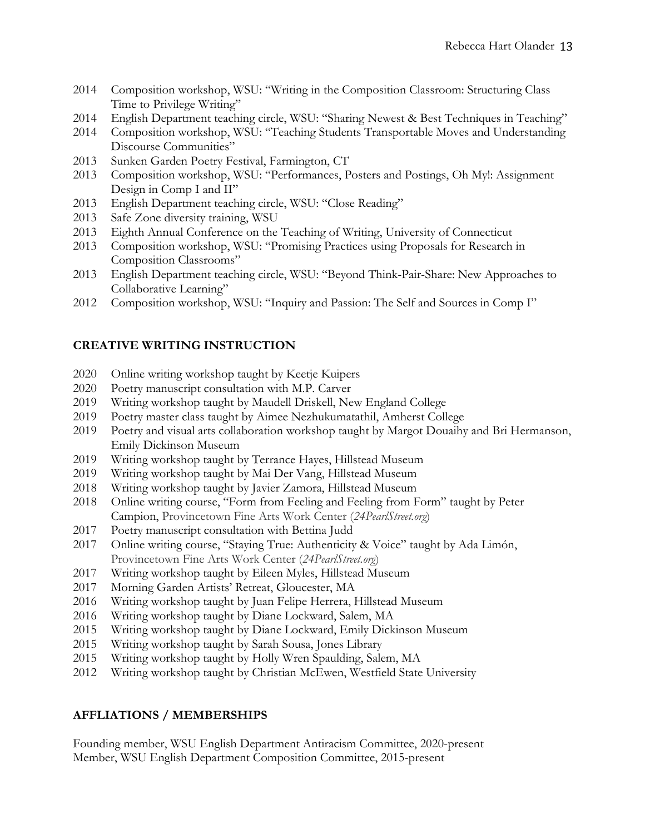- Composition workshop, WSU: "Writing in the Composition Classroom: Structuring Class Time to Privilege Writing"
- English Department teaching circle, WSU: "Sharing Newest & Best Techniques in Teaching"
- 2014 Composition workshop, WSU: "Teaching Students Transportable Moves and Understanding Discourse Communities"
- Sunken Garden Poetry Festival, Farmington, CT
- Composition workshop, WSU: "Performances, Posters and Postings, Oh My!: Assignment Design in Comp I and II"
- English Department teaching circle, WSU: "Close Reading"
- Safe Zone diversity training, WSU
- Eighth Annual Conference on the Teaching of Writing, University of Connecticut
- Composition workshop, WSU: "Promising Practices using Proposals for Research in Composition Classrooms"
- English Department teaching circle, WSU: "Beyond Think-Pair-Share: New Approaches to Collaborative Learning"
- Composition workshop, WSU: "Inquiry and Passion: The Self and Sources in Comp I"

## **CREATIVE WRITING INSTRUCTION**

- Online writing workshop taught by Keetje Kuipers
- Poetry manuscript consultation with M.P. Carver
- Writing workshop taught by Maudell Driskell, New England College
- Poetry master class taught by Aimee Nezhukumatathil, Amherst College
- Poetry and visual arts collaboration workshop taught by Margot Douaihy and Bri Hermanson, Emily Dickinson Museum
- Writing workshop taught by Terrance Hayes, Hillstead Museum
- Writing workshop taught by Mai Der Vang, Hillstead Museum
- Writing workshop taught by Javier Zamora, Hillstead Museum
- Online writing course, "Form from Feeling and Feeling from Form" taught by Peter Campion, Provincetown Fine Arts Work Center (*24PearlStreet.org*)
- Poetry manuscript consultation with Bettina Judd
- Online writing course, "Staying True: Authenticity & Voice" taught by Ada Limón, Provincetown Fine Arts Work Center (*24PearlStreet.org*)
- Writing workshop taught by Eileen Myles, Hillstead Museum
- Morning Garden Artists' Retreat, Gloucester, MA
- Writing workshop taught by Juan Felipe Herrera, Hillstead Museum
- Writing workshop taught by Diane Lockward, Salem, MA
- Writing workshop taught by Diane Lockward, Emily Dickinson Museum
- Writing workshop taught by Sarah Sousa, Jones Library
- Writing workshop taught by Holly Wren Spaulding, Salem, MA
- Writing workshop taught by Christian McEwen, Westfield State University

# **AFFLIATIONS / MEMBERSHIPS**

Founding member, WSU English Department Antiracism Committee, 2020-present Member, WSU English Department Composition Committee, 2015-present